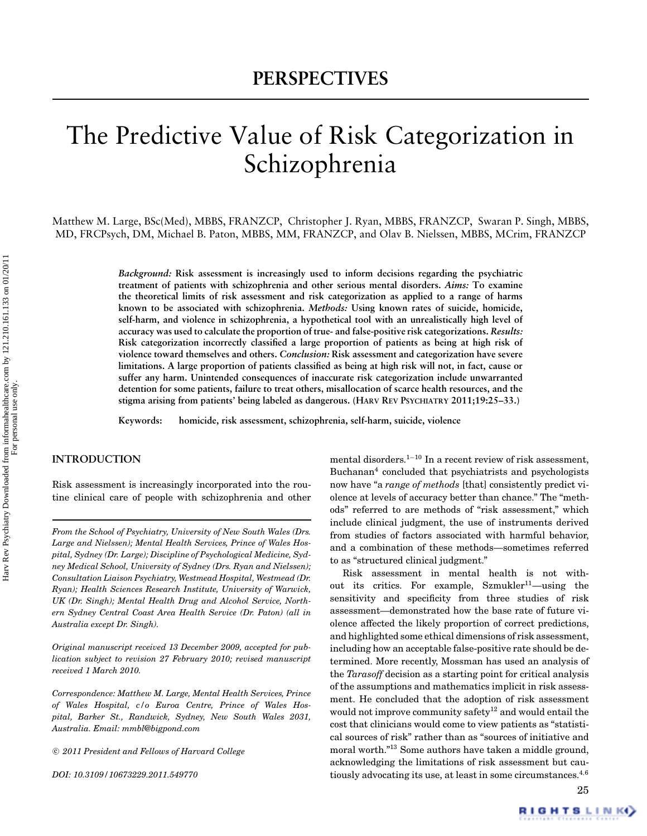# The Predictive Value of Risk Categorization in Schizophrenia

Matthew M. Large, BSc(Med), MBBS, FRANZCP, Christopher J. Ryan, MBBS, FRANZCP, Swaran P. Singh, MBBS, MD, FRCPsych, DM, Michael B. Paton, MBBS, MM, FRANZCP, and Olav B. Nielssen, MBBS, MCrim, FRANZCP

> *Background:* **Risk assessment is increasingly used to inform decisions regarding the psychiatric treatment of patients with schizophrenia and other serious mental disorders.** *Aims:* **To examine the theoretical limits of risk assessment and risk categorization as applied to a range of harms known to be associated with schizophrenia.** *Methods:* **Using known rates of suicide, homicide, self-harm, and violence in schizophrenia, a hypothetical tool with an unrealistically high level of accuracy was used to calculate the proportion of true- and false-positive risk categorizations.** *Results:* **Risk categorization incorrectly classified a large proportion of patients as being at high risk of violence toward themselves and others.** *Conclusion:* **Risk assessment and categorization have severe limitations. A large proportion of patients classified as being at high risk will not, in fact, cause or suffer any harm. Unintended consequences of inaccurate risk categorization include unwarranted detention for some patients, failure to treat others, misallocation of scarce health resources, and the stigma arising from patients' being labeled as dangerous. (HARV REV PSYCHIATRY 2011;19:25–33.)**

**Keywords: homicide, risk assessment, schizophrenia, self-harm, suicide, violence**

## **INTRODUCTION**

Risk assessment is increasingly incorporated into the routine clinical care of people with schizophrenia and other

*From the School of Psychiatry, University of New South Wales (Drs. Large and Nielssen); Mental Health Services, Prince of Wales Hospital, Sydney (Dr. Large); Discipline of Psychological Medicine, Sydney Medical School, University of Sydney (Drs. Ryan and Nielssen); Consultation Liaison Psychiatry, Westmead Hospital, Westmead (Dr. Ryan); Health Sciences Research Institute, University of Warwick, UK (Dr. Singh); Mental Health Drug and Alcohol Service, Northern Sydney Central Coast Area Health Service (Dr. Paton) (all in Australia except Dr. Singh).*

*Original manuscript received 13 December 2009, accepted for publication subject to revision 27 February 2010; revised manuscript received 1 March 2010.*

*Correspondence: Matthew M. Large, Mental Health Services, Prince of Wales Hospital, c/o Euroa Centre, Prince of Wales Hospital, Barker St., Randwick, Sydney, New South Wales 2031, Australia. Email: mmbl@bigpond.com*

c *2011 President and Fellows of Harvard College*

*DOI: 10.3109/10673229.2011.549770*

mental disorders.<sup>1</sup>−<sup>10</sup> In a recent review of risk assessment, Buchanan<sup>4</sup> concluded that psychiatrists and psychologists now have "a *range of methods* [that] consistently predict violence at levels of accuracy better than chance." The "methods" referred to are methods of "risk assessment," which include clinical judgment, the use of instruments derived from studies of factors associated with harmful behavior, and a combination of these methods—sometimes referred to as "structured clinical judgment."

Risk assessment in mental health is not without its critics. For example, Szmukler<sup>11</sup>-using the sensitivity and specificity from three studies of risk assessment—demonstrated how the base rate of future violence affected the likely proportion of correct predictions, and highlighted some ethical dimensions of risk assessment, including how an acceptable false-positive rate should be determined. More recently, Mossman has used an analysis of the *Tarasoff* decision as a starting point for critical analysis of the assumptions and mathematics implicit in risk assessment. He concluded that the adoption of risk assessment would not improve community safety<sup>12</sup> and would entail the cost that clinicians would come to view patients as "statistical sources of risk" rather than as "sources of initiative and moral worth."<sup>13</sup> Some authors have taken a middle ground, acknowledging the limitations of risk assessment but cautiously advocating its use, at least in some circumstances.4*,*<sup>6</sup>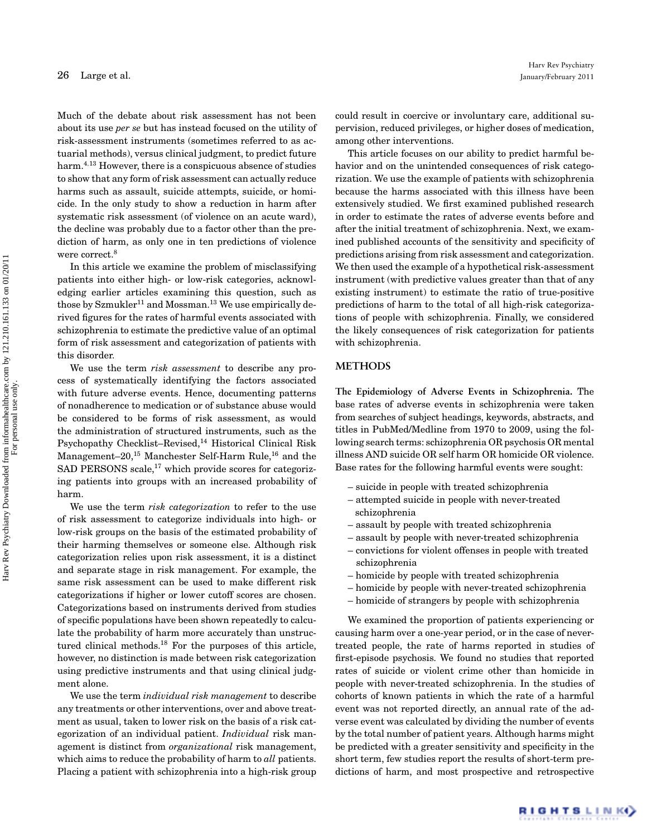Much of the debate about risk assessment has not been about its use *per se* but has instead focused on the utility of risk-assessment instruments (sometimes referred to as actuarial methods), versus clinical judgment, to predict future harm.4*,*<sup>13</sup> However, there is a conspicuous absence of studies to show that any form of risk assessment can actually reduce harms such as assault, suicide attempts, suicide, or homicide. In the only study to show a reduction in harm after systematic risk assessment (of violence on an acute ward), the decline was probably due to a factor other than the prediction of harm, as only one in ten predictions of violence were correct.<sup>8</sup>

In this article we examine the problem of misclassifying patients into either high- or low-risk categories, acknowledging earlier articles examining this question, such as those by  $Szmukler<sup>11</sup>$  and Mossman.<sup>13</sup> We use empirically derived figures for the rates of harmful events associated with schizophrenia to estimate the predictive value of an optimal form of risk assessment and categorization of patients with this disorder.

We use the term *risk assessment* to describe any process of systematically identifying the factors associated with future adverse events. Hence, documenting patterns of nonadherence to medication or of substance abuse would be considered to be forms of risk assessment, as would the administration of structured instruments, such as the Psychopathy Checklist–Revised,<sup>14</sup> Historical Clinical Risk Management–20,<sup>15</sup> Manchester Self-Harm Rule,<sup>16</sup> and the SAD PERSONS scale, $^{17}$  which provide scores for categorizing patients into groups with an increased probability of harm.

We use the term *risk categorization* to refer to the use of risk assessment to categorize individuals into high- or low-risk groups on the basis of the estimated probability of their harming themselves or someone else. Although risk categorization relies upon risk assessment, it is a distinct and separate stage in risk management. For example, the same risk assessment can be used to make different risk categorizations if higher or lower cutoff scores are chosen. Categorizations based on instruments derived from studies of specific populations have been shown repeatedly to calculate the probability of harm more accurately than unstructured clinical methods.<sup>18</sup> For the purposes of this article, however, no distinction is made between risk categorization using predictive instruments and that using clinical judgment alone.

We use the term *individual risk management* to describe any treatments or other interventions, over and above treatment as usual, taken to lower risk on the basis of a risk categorization of an individual patient. *Individual* risk management is distinct from *organizational* risk management, which aims to reduce the probability of harm to *all* patients. Placing a patient with schizophrenia into a high-risk group could result in coercive or involuntary care, additional supervision, reduced privileges, or higher doses of medication, among other interventions.

This article focuses on our ability to predict harmful behavior and on the unintended consequences of risk categorization. We use the example of patients with schizophrenia because the harms associated with this illness have been extensively studied. We first examined published research in order to estimate the rates of adverse events before and after the initial treatment of schizophrenia. Next, we examined published accounts of the sensitivity and specificity of predictions arising from risk assessment and categorization. We then used the example of a hypothetical risk-assessment instrument (with predictive values greater than that of any existing instrument) to estimate the ratio of true-positive predictions of harm to the total of all high-risk categorizations of people with schizophrenia. Finally, we considered the likely consequences of risk categorization for patients with schizophrenia.

#### **METHODS**

**The Epidemiology of Adverse Events in Schizophrenia.** The base rates of adverse events in schizophrenia were taken from searches of subject headings, keywords, abstracts, and titles in PubMed/Medline from 1970 to 2009, using the following search terms: schizophrenia OR psychosis OR mental illness AND suicide OR self harm OR homicide OR violence. Base rates for the following harmful events were sought:

- suicide in people with treated schizophrenia
- attempted suicide in people with never-treated schizophrenia
- assault by people with treated schizophrenia
- assault by people with never-treated schizophrenia
- convictions for violent offenses in people with treated schizophrenia
- homicide by people with treated schizophrenia
- homicide by people with never-treated schizophrenia
- homicide of strangers by people with schizophrenia

We examined the proportion of patients experiencing or causing harm over a one-year period, or in the case of nevertreated people, the rate of harms reported in studies of first-episode psychosis. We found no studies that reported rates of suicide or violent crime other than homicide in people with never-treated schizophrenia. In the studies of cohorts of known patients in which the rate of a harmful event was not reported directly, an annual rate of the adverse event was calculated by dividing the number of events by the total number of patient years. Although harms might be predicted with a greater sensitivity and specificity in the short term, few studies report the results of short-term predictions of harm, and most prospective and retrospective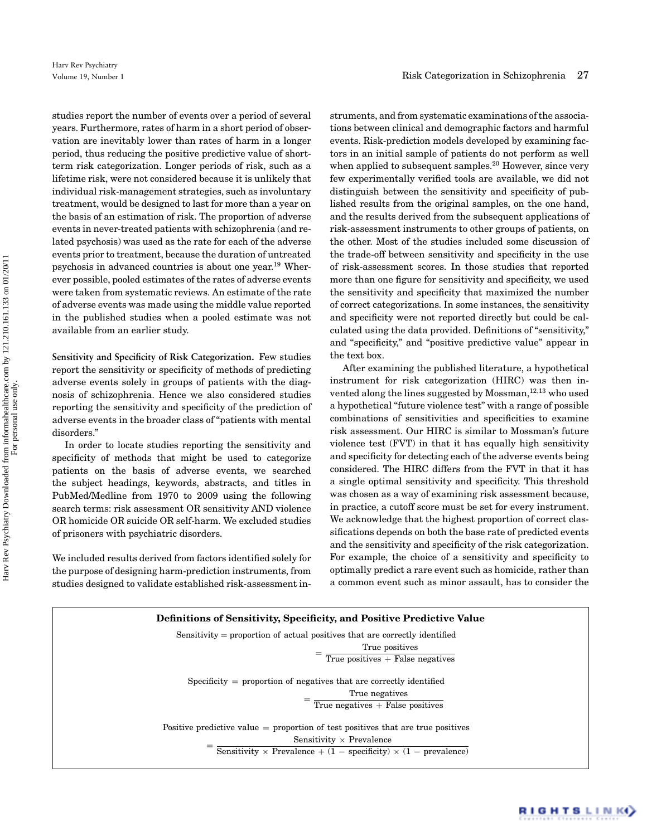studies report the number of events over a period of several years. Furthermore, rates of harm in a short period of observation are inevitably lower than rates of harm in a longer period, thus reducing the positive predictive value of shortterm risk categorization. Longer periods of risk, such as a lifetime risk, were not considered because it is unlikely that individual risk-management strategies, such as involuntary treatment, would be designed to last for more than a year on the basis of an estimation of risk. The proportion of adverse events in never-treated patients with schizophrenia (and related psychosis) was used as the rate for each of the adverse events prior to treatment, because the duration of untreated psychosis in advanced countries is about one year.19 Wherever possible, pooled estimates of the rates of adverse events were taken from systematic reviews. An estimate of the rate of adverse events was made using the middle value reported in the published studies when a pooled estimate was not available from an earlier study.

**Sensitivity and Specificity of Risk Categorization.** Few studies report the sensitivity or specificity of methods of predicting adverse events solely in groups of patients with the diagnosis of schizophrenia. Hence we also considered studies reporting the sensitivity and specificity of the prediction of adverse events in the broader class of "patients with mental disorders."

In order to locate studies reporting the sensitivity and specificity of methods that might be used to categorize patients on the basis of adverse events, we searched the subject headings, keywords, abstracts, and titles in PubMed/Medline from 1970 to 2009 using the following search terms: risk assessment OR sensitivity AND violence OR homicide OR suicide OR self-harm. We excluded studies of prisoners with psychiatric disorders.

We included results derived from factors identified solely for the purpose of designing harm-prediction instruments, from studies designed to validate established risk-assessment instruments, and from systematic examinations of the associations between clinical and demographic factors and harmful events. Risk-prediction models developed by examining factors in an initial sample of patients do not perform as well when applied to subsequent samples.<sup>20</sup> However, since very few experimentally verified tools are available, we did not distinguish between the sensitivity and specificity of published results from the original samples, on the one hand, and the results derived from the subsequent applications of risk-assessment instruments to other groups of patients, on the other. Most of the studies included some discussion of the trade-off between sensitivity and specificity in the use of risk-assessment scores. In those studies that reported more than one figure for sensitivity and specificity, we used the sensitivity and specificity that maximized the number of correct categorizations. In some instances, the sensitivity and specificity were not reported directly but could be calculated using the data provided. Definitions of "sensitivity," and "specificity," and "positive predictive value" appear in the text box.

After examining the published literature, a hypothetical instrument for risk categorization (HIRC) was then invented along the lines suggested by Mossman,<sup>12,13</sup> who used a hypothetical "future violence test" with a range of possible combinations of sensitivities and specificities to examine risk assessment. Our HIRC is similar to Mossman's future violence test (FVT) in that it has equally high sensitivity and specificity for detecting each of the adverse events being considered. The HIRC differs from the FVT in that it has a single optimal sensitivity and specificity. This threshold was chosen as a way of examining risk assessment because, in practice, a cutoff score must be set for every instrument. We acknowledge that the highest proportion of correct classifications depends on both the base rate of predicted events and the sensitivity and specificity of the risk categorization. For example, the choice of a sensitivity and specificity to optimally predict a rare event such as homicide, rather than a common event such as minor assault, has to consider the

| Definitions of Sensitivity, Specificity, and Positive Predictive Value                                                                                                                                 |
|--------------------------------------------------------------------------------------------------------------------------------------------------------------------------------------------------------|
| Sensitivity = proportion of actual positives that are correctly identified<br>True positives<br>True positives $+$ False negatives                                                                     |
| Specificity $=$ proportion of negatives that are correctly identified<br>True negatives<br>True negatives $+$ False positives                                                                          |
| Positive predictive value $=$ proportion of test positives that are true positives<br>Sensitivity $\times$ Prevalence<br>Sensitivity $\times$ Prevalence + (1 – specificity) $\times$ (1 – prevalence) |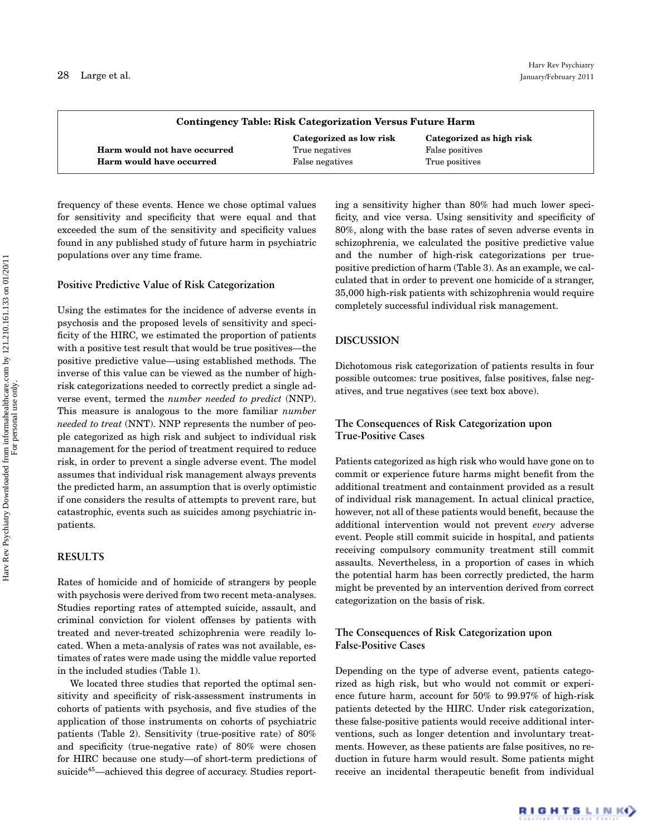| Contingency Table: Risk Categorization Versus Future Harm |                         |                          |  |
|-----------------------------------------------------------|-------------------------|--------------------------|--|
|                                                           | Categorized as low risk | Categorized as high risk |  |
| Harm would not have occurred                              | True negatives          | False positives          |  |
| Harm would have occurred                                  | False negatives         | True positives           |  |

frequency of these events. Hence we chose optimal values for sensitivity and specificity that were equal and that exceeded the sum of the sensitivity and specificity values found in any published study of future harm in psychiatric populations over any time frame.

#### **Positive Predictive Value of Risk Categorization**

Using the estimates for the incidence of adverse events in psychosis and the proposed levels of sensitivity and specificity of the HIRC, we estimated the proportion of patients with a positive test result that would be true positives—the positive predictive value—using established methods. The inverse of this value can be viewed as the number of highrisk categorizations needed to correctly predict a single adverse event, termed the *number needed to predict* (NNP). This measure is analogous to the more familiar *number needed to treat* (NNT). NNP represents the number of people categorized as high risk and subject to individual risk management for the period of treatment required to reduce risk, in order to prevent a single adverse event. The model assumes that individual risk management always prevents the predicted harm, an assumption that is overly optimistic if one considers the results of attempts to prevent rare, but catastrophic, events such as suicides among psychiatric inpatients.

#### **RESULTS**

Rates of homicide and of homicide of strangers by people with psychosis were derived from two recent meta-analyses. Studies reporting rates of attempted suicide, assault, and criminal conviction for violent offenses by patients with treated and never-treated schizophrenia were readily located. When a meta-analysis of rates was not available, estimates of rates were made using the middle value reported in the included studies (Table 1).

We located three studies that reported the optimal sensitivity and specificity of risk-assessment instruments in cohorts of patients with psychosis, and five studies of the application of those instruments on cohorts of psychiatric patients (Table 2). Sensitivity (true-positive rate) of 80% and specificity (true-negative rate) of 80% were chosen for HIRC because one study—of short-term predictions of suicide<sup>45</sup>—achieved this degree of accuracy. Studies reporting a sensitivity higher than 80% had much lower specificity, and vice versa. Using sensitivity and specificity of 80%, along with the base rates of seven adverse events in schizophrenia, we calculated the positive predictive value and the number of high-risk categorizations per truepositive prediction of harm (Table 3). As an example, we calculated that in order to prevent one homicide of a stranger, 35,000 high-risk patients with schizophrenia would require completely successful individual risk management.

#### **DISCUSSION**

Dichotomous risk categorization of patients results in four possible outcomes: true positives, false positives, false negatives, and true negatives (see text box above).

### **The Consequences of Risk Categorization upon True-Positive Cases**

Patients categorized as high risk who would have gone on to commit or experience future harms might benefit from the additional treatment and containment provided as a result of individual risk management. In actual clinical practice, however, not all of these patients would benefit, because the additional intervention would not prevent *every* adverse event. People still commit suicide in hospital, and patients receiving compulsory community treatment still commit assaults. Nevertheless, in a proportion of cases in which the potential harm has been correctly predicted, the harm might be prevented by an intervention derived from correct categorization on the basis of risk.

#### **The Consequences of Risk Categorization upon False-Positive Cases**

Depending on the type of adverse event, patients categorized as high risk, but who would not commit or experience future harm, account for 50% to 99.97% of high-risk patients detected by the HIRC. Under risk categorization, these false-positive patients would receive additional interventions, such as longer detention and involuntary treatments. However, as these patients are false positives, no reduction in future harm would result. Some patients might receive an incidental therapeutic benefit from individual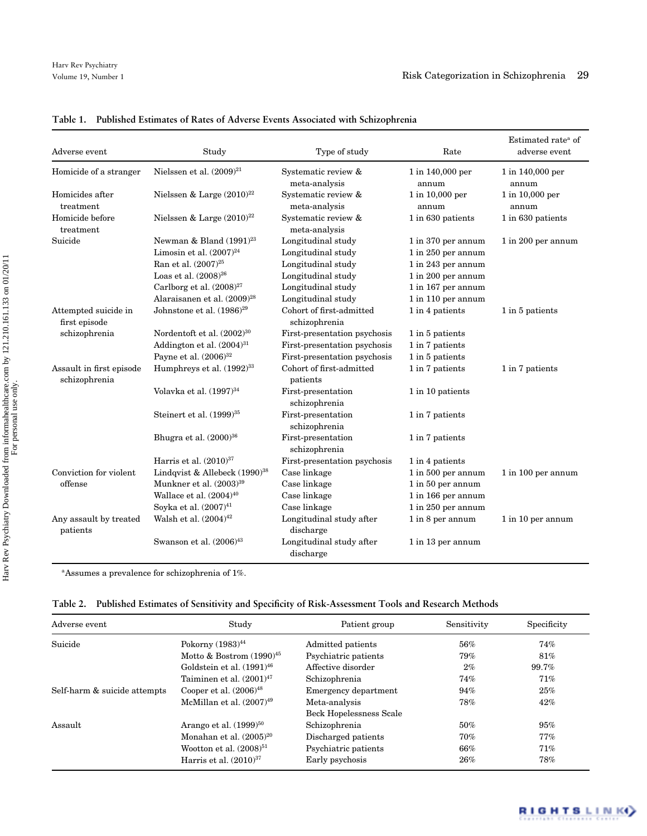| Adverse event                             | Study                                                                                                                                                  | Type of study                                                                                              | Rate                                                                                                       | Estimated rate <sup>a</sup> of<br>adverse event |
|-------------------------------------------|--------------------------------------------------------------------------------------------------------------------------------------------------------|------------------------------------------------------------------------------------------------------------|------------------------------------------------------------------------------------------------------------|-------------------------------------------------|
| Homicide of a stranger                    | Nielssen et al. $(2009)^{21}$                                                                                                                          | Systematic review &<br>meta-analysis                                                                       | 1 in 140,000 per<br>annum                                                                                  | 1 in 140,000 per<br>annum                       |
| Homicides after<br>treatment              | Nielssen & Large $(2010)^{22}$                                                                                                                         | Systematic review &<br>meta-analysis                                                                       | 1 in 10,000 per<br>annum                                                                                   | 1 in 10,000 per<br>annum                        |
| Homicide before<br>treatment              | Nielssen & Large $(2010)^{22}$                                                                                                                         | Systematic review &<br>meta-analysis                                                                       | 1 in 630 patients                                                                                          | 1 in 630 patients                               |
| Suicide                                   | Newman & Bland $(1991)^{23}$<br>Limosin et al. $(2007)^{24}$<br>Ran et al. $(2007)^{25}$<br>Loas et al. $(2008)^{26}$<br>Carlborg et al. $(2008)^{27}$ | Longitudinal study<br>Longitudinal study<br>Longitudinal study<br>Longitudinal study<br>Longitudinal study | 1 in 370 per annum<br>1 in 250 per annum<br>1 in 243 per annum<br>1 in 200 per annum<br>1 in 167 per annum | 1 in 200 per annum                              |
| Attempted suicide in<br>first episode     | Alaraisanen et al. (2009) <sup>28</sup><br>Johnstone et al. (1986) <sup>29</sup>                                                                       | Longitudinal study<br>Cohort of first-admitted<br>schizophrenia                                            | 1 in 110 per annum<br>1 in 4 patients                                                                      | 1 in 5 patients                                 |
| schizophrenia                             | Nordentoft et al. (2002) <sup>30</sup><br>Addington et al. $(2004)^{31}$<br>Payne et al. $(2006)^{32}$                                                 | First-presentation psychosis<br>First-presentation psychosis<br>First-presentation psychosis               | 1 in 5 patients<br>1 in 7 patients<br>1 in 5 patients                                                      |                                                 |
| Assault in first episode<br>schizophrenia | Humphreys et al. $(1992)^{33}$                                                                                                                         | Cohort of first-admitted<br>patients                                                                       | 1 in 7 patients                                                                                            | 1 in 7 patients                                 |
|                                           | Volavka et al. $(1997)^{34}$                                                                                                                           | First-presentation<br>schizophrenia                                                                        | 1 in 10 patients                                                                                           |                                                 |
|                                           | Steinert et al. $(1999)^{35}$                                                                                                                          | First-presentation<br>schizophrenia                                                                        | 1 in 7 patients                                                                                            |                                                 |
|                                           | Bhugra et al. $(2000)^{36}$                                                                                                                            | First-presentation<br>schizophrenia                                                                        | 1 in 7 patients                                                                                            |                                                 |
|                                           | Harris et al. $(2010)^{37}$                                                                                                                            | First-presentation psychosis                                                                               | 1 in 4 patients                                                                                            |                                                 |
| Conviction for violent<br>offense         | Lindqvist & Allebeck (1990) <sup>38</sup>                                                                                                              | Case linkage                                                                                               | 1 in 500 per annum                                                                                         | $1$ in 100 per annum                            |
|                                           | Munkner et al. (2003) <sup>39</sup>                                                                                                                    | Case linkage                                                                                               | 1 in 50 per annum                                                                                          |                                                 |
|                                           | Wallace et al. $(2004)^{40}$                                                                                                                           | Case linkage                                                                                               | 1 in 166 per annum                                                                                         |                                                 |
|                                           | Soyka et al. (2007) <sup>41</sup>                                                                                                                      | Case linkage                                                                                               | 1 in 250 per annum                                                                                         |                                                 |
| Any assault by treated<br>patients        | Walsh et al. $(2004)^{42}$                                                                                                                             | Longitudinal study after<br>discharge                                                                      | 1 in 8 per annum                                                                                           | 1 in 10 per annum                               |
|                                           | Swanson et al. $(2006)^{43}$                                                                                                                           | Longitudinal study after<br>discharge                                                                      | 1 in 13 per annum                                                                                          |                                                 |

## **Table 1. Published Estimates of Rates of Adverse Events Associated with Schizophrenia**

<sup>a</sup>Assumes a prevalence for schizophrenia of 1%.

|  | Table 2. Published Estimates of Sensitivity and Specificity of Risk-Assessment Tools and Research Methods |  |  |  |  |  |
|--|-----------------------------------------------------------------------------------------------------------|--|--|--|--|--|
|--|-----------------------------------------------------------------------------------------------------------|--|--|--|--|--|

| Adverse event                | Study                          | Patient group           | Sensitivity | Specificity |
|------------------------------|--------------------------------|-------------------------|-------------|-------------|
| Suicide                      | Pokorny (1983) <sup>44</sup>   | Admitted patients       | 56%         | 74%         |
|                              | Motto & Bostrom $(1990)^{45}$  | Psychiatric patients    | 79%         | $81\%$      |
|                              | Goldstein et al. $(1991)^{46}$ | Affective disorder      | $2\%$       | 99.7%       |
|                              | Taiminen et al. $(2001)^{47}$  | Schizophrenia           | 74%         | 71%         |
| Self-harm & suicide attempts | Cooper et al. $(2006)^{48}$    | Emergency department    | 94%         | 25%         |
|                              | McMillan et al. $(2007)^{49}$  | Meta-analysis           | 78%         | $42\%$      |
|                              |                                | Beck Hopelessness Scale |             |             |
| Assault                      | Arango et al. $(1999)^{50}$    | Schizophrenia           | 50%         | 95%         |
|                              | Monahan et al. $(2005)^{20}$   | Discharged patients     | 70%         | $77\%$      |
|                              | Wootton et al. $(2008)^{51}$   | Psychiatric patients    | $66\%$      | 71%         |
|                              | Harris et al. $(2010)^{37}$    | Early psychosis         | 26%         | 78%         |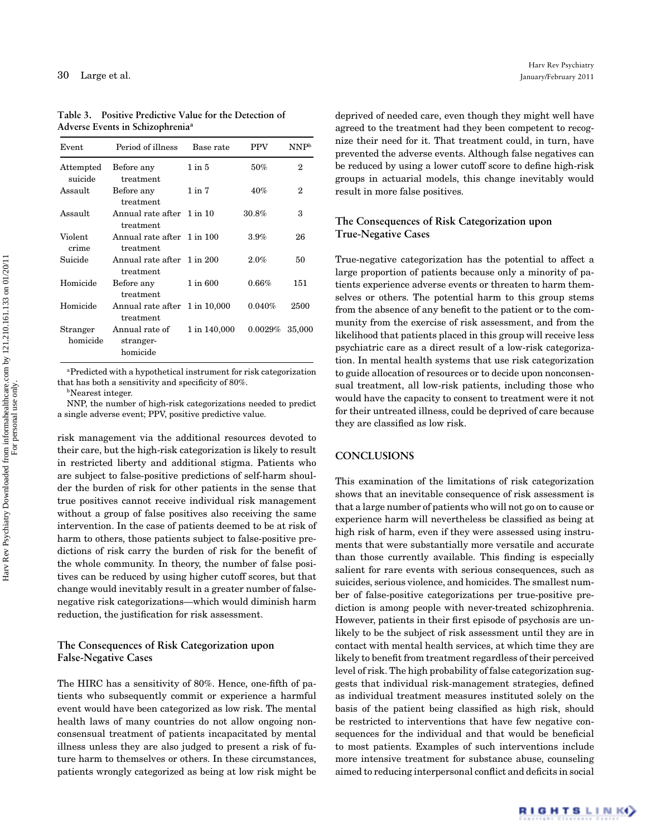| Event                | Period of illness                          | Base rate    | <b>PPV</b> | NNP <sup>b</sup> |
|----------------------|--------------------------------------------|--------------|------------|------------------|
| Attempted<br>suicide | Before any<br>treatment                    | $1$ in $5$   | 50%        | 2                |
| Assault              | Before any<br>treatment                    | $1$ in $7$   | 40%        | 2                |
| Assault              | Annual rate after 1 in 10<br>treatment     |              | 30.8%      | 3                |
| Violent<br>crime     | Annual rate after 1 in 100<br>treatment    |              | 3.9%       | 26               |
| Suicide              | Annual rate after 1 in 200<br>treatment    |              | 2.0%       | 50               |
| Homicide             | Before any<br>treatment                    | 1 in 600     | 0.66%      | 151              |
| Homicide             | Annual rate after 1 in 10,000<br>treatment |              | 0.040%     | 2500             |
| Stranger<br>homicide | Annual rate of<br>stranger-<br>homicide    | 1 in 140,000 | 0.0029%    | 35,000           |

**Table 3. Positive Predictive Value for the Detection of Adverse Events in Schizophreniaa**

aPredicted with a hypothetical instrument for risk categorization that has both a sensitivity and specificity of 80%.

**b**Nearest integer.

NNP, the number of high-risk categorizations needed to predict a single adverse event; PPV, positive predictive value.

risk management via the additional resources devoted to their care, but the high-risk categorization is likely to result in restricted liberty and additional stigma. Patients who are subject to false-positive predictions of self-harm shoulder the burden of risk for other patients in the sense that true positives cannot receive individual risk management without a group of false positives also receiving the same intervention. In the case of patients deemed to be at risk of harm to others, those patients subject to false-positive predictions of risk carry the burden of risk for the benefit of the whole community. In theory, the number of false positives can be reduced by using higher cutoff scores, but that change would inevitably result in a greater number of falsenegative risk categorizations—which would diminish harm reduction, the justification for risk assessment.

#### **The Consequences of Risk Categorization upon False-Negative Cases**

The HIRC has a sensitivity of 80%. Hence, one-fifth of patients who subsequently commit or experience a harmful event would have been categorized as low risk. The mental health laws of many countries do not allow ongoing nonconsensual treatment of patients incapacitated by mental illness unless they are also judged to present a risk of future harm to themselves or others. In these circumstances, patients wrongly categorized as being at low risk might be

deprived of needed care, even though they might well have agreed to the treatment had they been competent to recognize their need for it. That treatment could, in turn, have prevented the adverse events. Although false negatives can be reduced by using a lower cutoff score to define high-risk groups in actuarial models, this change inevitably would result in more false positives.

### **The Consequences of Risk Categorization upon True-Negative Cases**

True-negative categorization has the potential to affect a large proportion of patients because only a minority of patients experience adverse events or threaten to harm themselves or others. The potential harm to this group stems from the absence of any benefit to the patient or to the community from the exercise of risk assessment, and from the likelihood that patients placed in this group will receive less psychiatric care as a direct result of a low-risk categorization. In mental health systems that use risk categorization to guide allocation of resources or to decide upon nonconsensual treatment, all low-risk patients, including those who would have the capacity to consent to treatment were it not for their untreated illness, could be deprived of care because they are classified as low risk.

### **CONCLUSIONS**

This examination of the limitations of risk categorization shows that an inevitable consequence of risk assessment is that a large number of patients who will not go on to cause or experience harm will nevertheless be classified as being at high risk of harm, even if they were assessed using instruments that were substantially more versatile and accurate than those currently available. This finding is especially salient for rare events with serious consequences, such as suicides, serious violence, and homicides. The smallest number of false-positive categorizations per true-positive prediction is among people with never-treated schizophrenia. However, patients in their first episode of psychosis are unlikely to be the subject of risk assessment until they are in contact with mental health services, at which time they are likely to benefit from treatment regardless of their perceived level of risk. The high probability of false categorization suggests that individual risk-management strategies, defined as individual treatment measures instituted solely on the basis of the patient being classified as high risk, should be restricted to interventions that have few negative consequences for the individual and that would be beneficial to most patients. Examples of such interventions include more intensive treatment for substance abuse, counseling aimed to reducing interpersonal conflict and deficits in social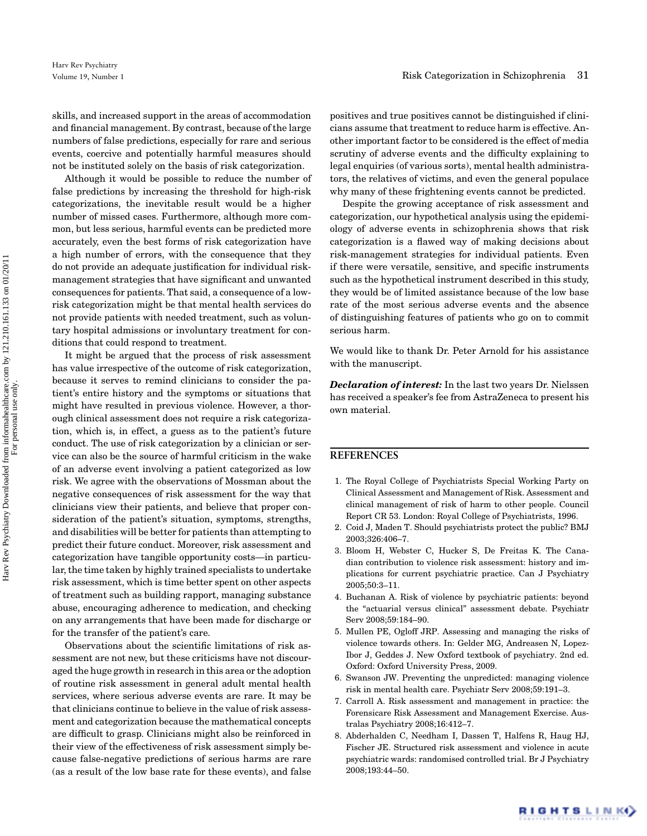skills, and increased support in the areas of accommodation and financial management. By contrast, because of the large numbers of false predictions, especially for rare and serious events, coercive and potentially harmful measures should not be instituted solely on the basis of risk categorization.

Although it would be possible to reduce the number of false predictions by increasing the threshold for high-risk categorizations, the inevitable result would be a higher number of missed cases. Furthermore, although more common, but less serious, harmful events can be predicted more accurately, even the best forms of risk categorization have a high number of errors, with the consequence that they do not provide an adequate justification for individual riskmanagement strategies that have significant and unwanted consequences for patients. That said, a consequence of a lowrisk categorization might be that mental health services do not provide patients with needed treatment, such as voluntary hospital admissions or involuntary treatment for conditions that could respond to treatment.

It might be argued that the process of risk assessment has value irrespective of the outcome of risk categorization, because it serves to remind clinicians to consider the patient's entire history and the symptoms or situations that might have resulted in previous violence. However, a thorough clinical assessment does not require a risk categorization, which is, in effect, a guess as to the patient's future conduct. The use of risk categorization by a clinician or service can also be the source of harmful criticism in the wake of an adverse event involving a patient categorized as low risk. We agree with the observations of Mossman about the negative consequences of risk assessment for the way that clinicians view their patients, and believe that proper consideration of the patient's situation, symptoms, strengths, and disabilities will be better for patients than attempting to predict their future conduct. Moreover, risk assessment and categorization have tangible opportunity costs—in particular, the time taken by highly trained specialists to undertake risk assessment, which is time better spent on other aspects of treatment such as building rapport, managing substance abuse, encouraging adherence to medication, and checking on any arrangements that have been made for discharge or for the transfer of the patient's care.

Observations about the scientific limitations of risk assessment are not new, but these criticisms have not discouraged the huge growth in research in this area or the adoption of routine risk assessment in general adult mental health services, where serious adverse events are rare. It may be that clinicians continue to believe in the value of risk assessment and categorization because the mathematical concepts are difficult to grasp. Clinicians might also be reinforced in their view of the effectiveness of risk assessment simply because false-negative predictions of serious harms are rare (as a result of the low base rate for these events), and false positives and true positives cannot be distinguished if clinicians assume that treatment to reduce harm is effective. Another important factor to be considered is the effect of media scrutiny of adverse events and the difficulty explaining to legal enquiries (of various sorts), mental health administrators, the relatives of victims, and even the general populace why many of these frightening events cannot be predicted.

Despite the growing acceptance of risk assessment and categorization, our hypothetical analysis using the epidemiology of adverse events in schizophrenia shows that risk categorization is a flawed way of making decisions about risk-management strategies for individual patients. Even if there were versatile, sensitive, and specific instruments such as the hypothetical instrument described in this study, they would be of limited assistance because of the low base rate of the most serious adverse events and the absence of distinguishing features of patients who go on to commit serious harm.

We would like to thank Dr. Peter Arnold for his assistance with the manuscript.

*Declaration of interest:* In the last two years Dr. Nielssen has received a speaker's fee from AstraZeneca to present his own material.

# **REFERENCES**

- 1. The Royal College of Psychiatrists Special Working Party on Clinical Assessment and Management of Risk. Assessment and clinical management of risk of harm to other people. Council Report CR 53. London: Royal College of Psychiatrists, 1996.
- 2. Coid J, Maden T. Should psychiatrists protect the public? BMJ 2003;326:406–7.
- 3. Bloom H, Webster C, Hucker S, De Freitas K. The Canadian contribution to violence risk assessment: history and implications for current psychiatric practice. Can J Psychiatry 2005;50:3–11.
- 4. Buchanan A. Risk of violence by psychiatric patients: beyond the "actuarial versus clinical" assessment debate. Psychiatr Serv 2008;59:184–90.
- 5. Mullen PE, Ogloff JRP. Assessing and managing the risks of violence towards others. In: Gelder MG, Andreasen N, Lopez-Ibor J, Geddes J. New Oxford textbook of psychiatry. 2nd ed. Oxford: Oxford University Press, 2009.
- 6. Swanson JW. Preventing the unpredicted: managing violence risk in mental health care. Psychiatr Serv 2008;59:191–3.
- 7. Carroll A. Risk assessment and management in practice: the Forensicare Risk Assessment and Management Exercise. Australas Psychiatry 2008;16:412–7.
- 8. Abderhalden C, Needham I, Dassen T, Halfens R, Haug HJ, Fischer JE. Structured risk assessment and violence in acute psychiatric wards: randomised controlled trial. Br J Psychiatry 2008;193:44–50.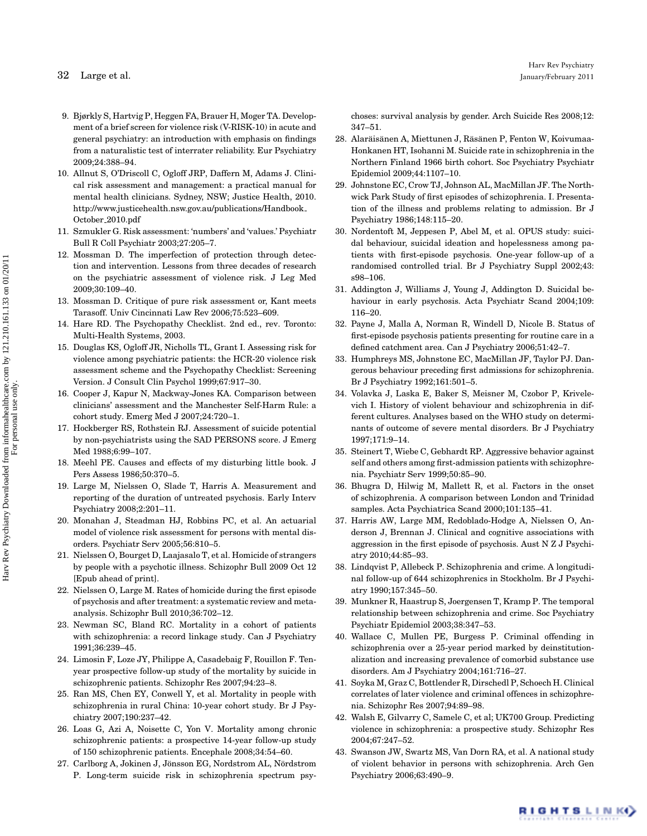- 32 Large et al.
- 9. Bjørkly S, Hartvig P, Heggen FA, Brauer H, Moger TA. Development of a brief screen for violence risk (V-RISK-10) in acute and general psychiatry: an introduction with emphasis on findings from a naturalistic test of interrater reliability. Eur Psychiatry 2009;24:388–94.
- 10. Allnut S, O'Driscoll C, Ogloff JRP, Daffern M, Adams J. Clinical risk assessment and management: a practical manual for mental health clinicians. Sydney, NSW; Justice Health, 2010. http://www.justicehealth.nsw.gov.au/publications/Handbook October 2010.pdf
- 11. Szmukler G. Risk assessment: 'numbers' and 'values.' Psychiatr Bull R Coll Psychiatr 2003;27:205–7.
- 12. Mossman D. The imperfection of protection through detection and intervention. Lessons from three decades of research on the psychiatric assessment of violence risk. J Leg Med 2009;30:109–40.
- 13. Mossman D. Critique of pure risk assessment or, Kant meets Tarasoff. Univ Cincinnati Law Rev 2006;75:523–609.
- 14. Hare RD. The Psychopathy Checklist. 2nd ed., rev. Toronto: Multi-Health Systems, 2003.
- 15. Douglas KS, Ogloff JR, Nicholls TL, Grant I. Assessing risk for violence among psychiatric patients: the HCR-20 violence risk assessment scheme and the Psychopathy Checklist: Screening Version. J Consult Clin Psychol 1999;67:917–30.
- 16. Cooper J, Kapur N, Mackway-Jones KA. Comparison between clinicians' assessment and the Manchester Self-Harm Rule: a cohort study. Emerg Med J 2007;24:720–1.
- 17. Hockberger RS, Rothstein RJ. Assessment of suicide potential by non-psychiatrists using the SAD PERSONS score. J Emerg Med 1988;6:99–107.
- 18. Meehl PE. Causes and effects of my disturbing little book. J Pers Assess 1986;50:370–5.
- 19. Large M, Nielssen O, Slade T, Harris A. Measurement and reporting of the duration of untreated psychosis. Early Interv Psychiatry 2008;2:201–11.
- 20. Monahan J, Steadman HJ, Robbins PC, et al. An actuarial model of violence risk assessment for persons with mental disorders. Psychiatr Serv 2005;56:810–5.
- 21. Nielssen O, Bourget D, Laajasalo T, et al. Homicide of strangers by people with a psychotic illness. Schizophr Bull 2009 Oct 12 [Epub ahead of print].
- 22. Nielssen O, Large M. Rates of homicide during the first episode of psychosis and after treatment: a systematic review and metaanalysis. Schizophr Bull 2010;36:702–12.
- 23. Newman SC, Bland RC. Mortality in a cohort of patients with schizophrenia: a record linkage study. Can J Psychiatry 1991;36:239–45.
- 24. Limosin F, Loze JY, Philippe A, Casadebaig F, Rouillon F. Tenyear prospective follow-up study of the mortality by suicide in schizophrenic patients. Schizophr Res 2007;94:23–8.
- 25. Ran MS, Chen EY, Conwell Y, et al. Mortality in people with schizophrenia in rural China: 10-year cohort study. Br J Psychiatry 2007;190:237–42.
- 26. Loas G, Azi A, Noisette C, Yon V. Mortality among chronic schizophrenic patients: a prospective 14-year follow-up study of 150 schizophrenic patients. Encephale 2008;34:54–60.
- 27. Carlborg A, Jokinen J, Jönsson EG, Nordstrom AL, Nördstrom P. Long-term suicide risk in schizophrenia spectrum psy-

choses: survival analysis by gender. Arch Suicide Res 2008;12: 347–51.

- 28. Alaräisänen A, Miettunen J, Räsänen P, Fenton W, Koivumaa-Honkanen HT, Isohanni M. Suicide rate in schizophrenia in the Northern Finland 1966 birth cohort. Soc Psychiatry Psychiatr Epidemiol 2009;44:1107–10.
- 29. Johnstone EC, Crow TJ, Johnson AL, MacMillan JF. The Northwick Park Study of first episodes of schizophrenia. I. Presentation of the illness and problems relating to admission. Br J Psychiatry 1986;148:115–20.
- 30. Nordentoft M, Jeppesen P, Abel M, et al. OPUS study: suicidal behaviour, suicidal ideation and hopelessness among patients with first-episode psychosis. One-year follow-up of a randomised controlled trial. Br J Psychiatry Suppl 2002;43: s98–106.
- 31. Addington J, Williams J, Young J, Addington D. Suicidal behaviour in early psychosis. Acta Psychiatr Scand 2004;109: 116–20.
- 32. Payne J, Malla A, Norman R, Windell D, Nicole B. Status of first-episode psychosis patients presenting for routine care in a defined catchment area. Can J Psychiatry 2006;51:42–7.
- 33. Humphreys MS, Johnstone EC, MacMillan JF, Taylor PJ. Dangerous behaviour preceding first admissions for schizophrenia. Br J Psychiatry 1992;161:501–5.
- 34. Volavka J, Laska E, Baker S, Meisner M, Czobor P, Krivelevich I. History of violent behaviour and schizophrenia in different cultures. Analyses based on the WHO study on determinants of outcome of severe mental disorders. Br J Psychiatry 1997;171:9–14.
- 35. Steinert T, Wiebe C, Gebhardt RP. Aggressive behavior against self and others among first-admission patients with schizophrenia. Psychiatr Serv 1999;50:85–90.
- 36. Bhugra D, Hilwig M, Mallett R, et al. Factors in the onset of schizophrenia. A comparison between London and Trinidad samples. Acta Psychiatrica Scand 2000;101:135–41.
- 37. Harris AW, Large MM, Redoblado-Hodge A, Nielssen O, Anderson J, Brennan J. Clinical and cognitive associations with aggression in the first episode of psychosis. Aust N Z J Psychiatry 2010;44:85–93.
- 38. Lindqvist P, Allebeck P. Schizophrenia and crime. A longitudinal follow-up of 644 schizophrenics in Stockholm. Br J Psychiatry 1990;157:345–50.
- 39. Munkner R, Haastrup S, Joergensen T, Kramp P. The temporal relationship between schizophrenia and crime. Soc Psychiatry Psychiatr Epidemiol 2003;38:347–53.
- 40. Wallace C, Mullen PE, Burgess P. Criminal offending in schizophrenia over a 25-year period marked by deinstitutionalization and increasing prevalence of comorbid substance use disorders. Am J Psychiatry 2004;161:716–27.
- 41. Soyka M, Graz C, Bottlender R, Dirschedl P, Schoech H. Clinical correlates of later violence and criminal offences in schizophrenia. Schizophr Res 2007;94:89–98.
- 42. Walsh E, Gilvarry C, Samele C, et al; UK700 Group. Predicting violence in schizophrenia: a prospective study. Schizophr Res 2004;67:247–52.
- 43. Swanson JW, Swartz MS, Van Dorn RA, et al. A national study of violent behavior in persons with schizophrenia. Arch Gen Psychiatry 2006;63:490–9.